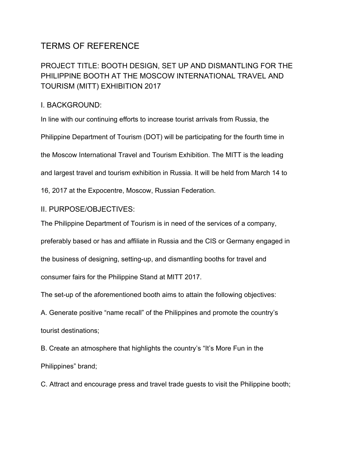# TERMS OF REFERENCE

## PROJECT TITLE: BOOTH DESIGN, SET UP AND DISMANTLING FOR THE PHILIPPINE BOOTH AT THE MOSCOW INTERNATIONAL TRAVEL AND TOURISM (MITT) EXHIBITION 2017

### I. BACKGROUND:

In line with our continuing efforts to increase tourist arrivals from Russia, the

Philippine Department of Tourism (DOT) will be participating for the fourth time in

the Moscow International Travel and Tourism Exhibition. The MITT is the leading

and largest travel and tourism exhibition in Russia. It will be held from March 14 to

16, 2017 at the Expocentre, Moscow, Russian Federation.

#### II. PURPOSE/OBJECTIVES:

The Philippine Department of Tourism is in need of the services of a company,

preferably based or has and affiliate in Russia and the CIS or Germany engaged in

the business of designing, setting-up, and dismantling booths for travel and

consumer fairs for the Philippine Stand at MITT 2017.

The set-up of the aforementioned booth aims to attain the following objectives:

A. Generate positive "name recall" of the Philippines and promote the country's tourist destinations;

B. Create an atmosphere that highlights the country's "It's More Fun in the Philippines" brand;

C. Attract and encourage press and travel trade guests to visit the Philippine booth;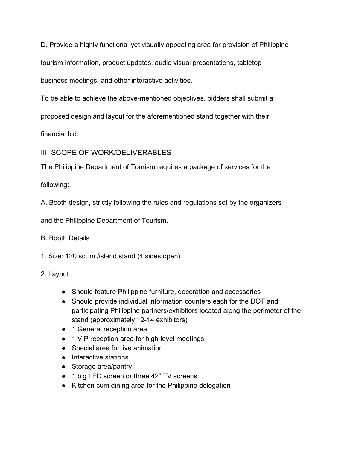D. Provide a highly functional yet visually appealing area for provision of Philippine tourism information, product updates, audio visual presentations, tabletop

business meetings, and other interactive activities.

To be able to achieve the above-mentioned objectives, bidders shall submit a

proposed design and layout for the aforementioned stand together with their

financial bid.

## III. SCOPE OF WORK/DELIVERABLES

The Philippine Department of Tourism requires a package of services for the

following:

A. Booth design, strictly following the rules and regulations set by the organizers

and the Philippine Department of Tourism.

### B. Booth Details

1. Size: 120 sq. m./island stand (4 sides open)

### 2. Layout

- Should feature Philippine furniture, decoration and accessories
- Should provide individual information counters each for the DOT and participating Philippine partners/exhibitors located along the perimeter of the stand (approximately 12-14 exhibitors)
- 1 General reception area
- 1 VIP reception area for high-level meetings
- Special area for live animation
- Interactive stations
- Storage area/pantry
- 1 big LED screen or three 42" TV screens
- Kitchen cum dining area for the Philippine delegation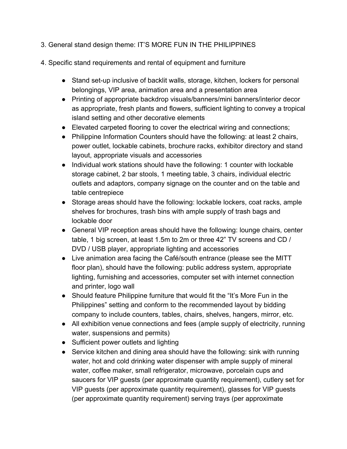- 3. General stand design theme: IT'S MORE FUN IN THE PHILIPPINES
- 4. Specific stand requirements and rental of equipment and furniture
	- Stand set-up inclusive of backlit walls, storage, kitchen, lockers for personal belongings, VIP area, animation area and a presentation area
	- Printing of appropriate backdrop visuals/banners/mini banners/interior decor as appropriate, fresh plants and flowers, sufficient lighting to convey a tropical island setting and other decorative elements
	- Elevated carpeted flooring to cover the electrical wiring and connections;
	- Philippine Information Counters should have the following: at least 2 chairs, power outlet, lockable cabinets, brochure racks, exhibitor directory and stand layout, appropriate visuals and accessories
	- Individual work stations should have the following: 1 counter with lockable storage cabinet, 2 bar stools, 1 meeting table, 3 chairs, individual electric outlets and adaptors, company signage on the counter and on the table and table centrepiece
	- Storage areas should have the following: lockable lockers, coat racks, ample shelves for brochures, trash bins with ample supply of trash bags and lockable door
	- General VIP reception areas should have the following: lounge chairs, center table, 1 big screen, at least 1.5m to 2m or three 42" TV screens and CD / DVD / USB player, appropriate lighting and accessories
	- Live animation area facing the Café/south entrance (please see the MITT floor plan), should have the following: public address system, appropriate lighting, furnishing and accessories, computer set with internet connection and printer, logo wall
	- Should feature Philippine furniture that would fit the "It's More Fun in the Philippines" setting and conform to the recommended layout by bidding company to include counters, tables, chairs, shelves, hangers, mirror, etc.
	- All exhibition venue connections and fees (ample supply of electricity, running water, suspensions and permits)
	- Sufficient power outlets and lighting
	- Service kitchen and dining area should have the following: sink with running water, hot and cold drinking water dispenser with ample supply of mineral water, coffee maker, small refrigerator, microwave, porcelain cups and saucers for VIP guests (per approximate quantity requirement), cutlery set for VIP guests (per approximate quantity requirement), glasses for VIP guests (per approximate quantity requirement) serving trays (per approximate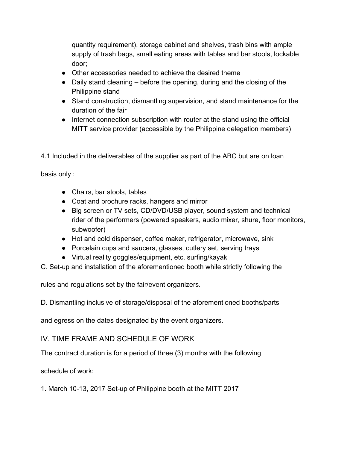quantity requirement), storage cabinet and shelves, trash bins with ample supply of trash bags, small eating areas with tables and bar stools, lockable door;

- Other accessories needed to achieve the desired theme
- Daily stand cleaning before the opening, during and the closing of the Philippine stand
- Stand construction, dismantling supervision, and stand maintenance for the duration of the fair
- Internet connection subscription with router at the stand using the official MITT service provider (accessible by the Philippine delegation members)

4.1 Included in the deliverables of the supplier as part of the ABC but are on loan

basis only :

- Chairs, bar stools, tables
- Coat and brochure racks, hangers and mirror
- Big screen or TV sets, CD/DVD/USB player, sound system and technical rider of the performers (powered speakers, audio mixer, shure, floor monitors, subwoofer)
- Hot and cold dispenser, coffee maker, refrigerator, microwave, sink
- Porcelain cups and saucers, glasses, cutlery set, serving trays
- Virtual reality goggles/equipment, etc. surfing/kayak
- C. Set-up and installation of the aforementioned booth while strictly following the

rules and regulations set by the fair/event organizers.

D. Dismantling inclusive of storage/disposal of the aforementioned booths/parts

and egress on the dates designated by the event organizers.

IV. TIME FRAME AND SCHEDULE OF WORK

The contract duration is for a period of three (3) months with the following

schedule of work:

1. March 10-13, 2017 Set-up of Philippine booth at the MITT 2017